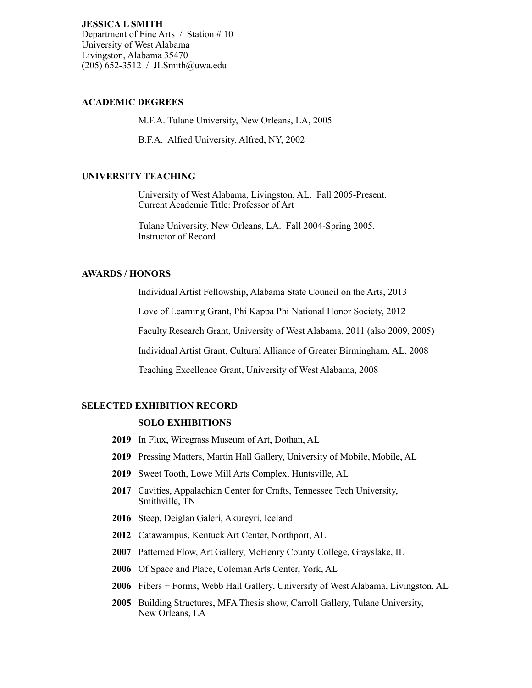**JESSICA L SMITH** Department of Fine Arts / Station # 10 University of West Alabama Livingston, Alabama 35470 (205) 652-3512 / JLSmith@uwa.edu

## **ACADEMIC DEGREES**

M.F.A. Tulane University, New Orleans, LA, 2005

B.F.A. Alfred University, Alfred, NY, 2002

# **UNIVERSITY TEACHING**

University of West Alabama, Livingston, AL. Fall 2005-Present. Current Academic Title: Professor of Art

Tulane University, New Orleans, LA. Fall 2004-Spring 2005. Instructor of Record

# **AWARDS / HONORS**

Individual Artist Fellowship, Alabama State Council on the Arts, 2013

Love of Learning Grant, Phi Kappa Phi National Honor Society, 2012

Faculty Research Grant, University of West Alabama, 2011 (also 2009, 2005)

Individual Artist Grant, Cultural Alliance of Greater Birmingham, AL, 2008

Teaching Excellence Grant, University of West Alabama, 2008

### **SELECTED EXHIBITION RECORD**

#### **SOLO EXHIBITIONS**

- **2019** In Flux, Wiregrass Museum of Art, Dothan, AL
- **2019** Pressing Matters, Martin Hall Gallery, University of Mobile, Mobile, AL
- **2019** Sweet Tooth, Lowe Mill Arts Complex, Huntsville, AL
- **2017** Cavities, Appalachian Center for Crafts, Tennessee Tech University, Smithville, TN
- **2016** Steep, Deiglan Galeri, Akureyri, Iceland
- **2012** Catawampus, Kentuck Art Center, Northport, AL
- **2007** Patterned Flow, Art Gallery, McHenry County College, Grayslake, IL
- **2006** Of Space and Place, Coleman Arts Center, York, AL
- **2006** Fibers + Forms, Webb Hall Gallery, University of West Alabama, Livingston, AL
- **2005** Building Structures, MFA Thesis show, Carroll Gallery, Tulane University, New Orleans, LA